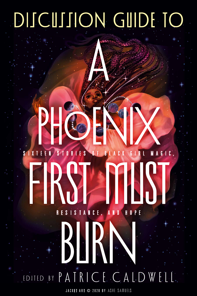# DISCUSSION GUIDE TO

**A** 

# S IXTEEN S TORIE S OF BLACK GIRL MAGIC, R E S I S TANCE, AND HOPE PHOENIX FIRST MAN BIRN

EDITED BY PATRICE CALDWELL.

JACKET ART @ 2020 BY ASHE SAMUELS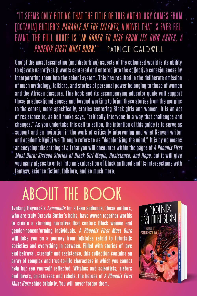"IT SEEMS ONLY FITTING THAT THE TITLE OF THIS ANTHOLOGY COMES FROM [OCTAVIA] BUTLER'S *parable of the talents*, a novel that is ever rel-EVANT. THE FULL QUOTE IS '*in order to rise from its own ashes, a* PHOENIX FIRST MUST BURN." - PATRICE CALDWELL

One of the most fascinating (and disturbing) aspects of the colonized world is its ability to elevate narratives it wants centered and entered into the collective consciousness by incorporating them into the school system. This has resulted in the deliberate omission of much mythology, folklore, and stories of personal power belonging to those of women and the African diaspora. This book and its accompanying educator guide will support those in educational spaces and beyond working to bring these stories from the margins to the center, more specifically, stories centering Black girls and women. It is an act of resistance to, as bell hooks says, "critically intervene in a way that challenges and changes." As you undertake this call to action, the intention of this guide is to serve as  $+$  support and an invitation in the work of critically intervening and what Kenyan writer and academic Ngügï wa Thiong'o refers to as "decolonizing the mind." It is by no means an encyclopedic catalog of all that you will encounter within the pages of A Phoenix First Must Burn: Sixteen Stories of Black Girl Magic, Resistance, and Hope, but it will give you many places to enter into an exploration of Black girlhood and its intersections with fantasy, science fiction, folklore, and so much more.

### ABOUT THE BOOK

Evoking Beyoncé's Lemonade for a teen audience, these authors, who are truly Octavia Butler's heirs, have woven together worlds to create a stunning narrative that centers Black women and gender-nonconforming individuals. A Phoenix First Must Burn will take you on a journey from folktales retold to futuristic societies and everything in between. Filled with stories of love and betrayal, strength and resistance, this collection contains an array of complex and true-to-life characters in which you cannot help but see yourself reflected. Witches and scientists, sisters and lovers, priestesses and rebels: the heroes of A Phoenix First **Must Burn shine brightly. You will never forget them.** 

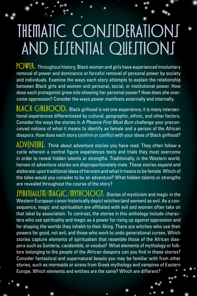# **THEMATIC CONJIDERATIONS** AND ESSENTIAL QUESTIONS

POWER: Throughout history, Black women and girls have experienced involuntary removal of power and dominance or forceful removal of personal power by society and individuals. Examine the ways each story attempts to explain the relationship between Black girls and women and personal, social, or institutional power. How does each protagonist grow into showing her personal power? How does she overcome oppression? Consider the ways power manifests externally and internally.

 $BLACH$   $GIRLHOOD.$  Black girlhood is not one experience; it is many intersectional experiences differentiated by cultural, geographic, ethnic, and other factors. Consider the ways the stories in *A Phoenix First Must Burn* challenge your preconceived notions of what it means to identify as female and a person of the African diaspora. How does each story confirm or conflict with your ideas of Black girlhood?

ADVENTURE: Think about adventure stories you have read. They often follow a cycle wherein a central figure experiences tests and trials they must overcome in order to reveal hidden talents or strengths. Traditionally, in the Western world, heroes of adventure stories are disproportionately male. These stories expand and elaborate upon traditional ideas of heroism and what it means to be female. Which of the tales would you consider to be an adventure? What hidden talents or strengths are revealed throughout the course of the story?

**SPIRITUALISM/MAGIC/MYTHOLOGY:** Stories of mysticism and magic in the Western European canon historically depict witches (and women) as evil. As a consequence, magic and spiritualism are affiliated with evil and women often take on that label by association. To contrast, the stories in this anthology include characters who use spirituality and magic as a power for rising up against oppression and for shaping the worlds they inhabit to their liking. There are witches who use their powers for good, not evil, and those who work to undo generational curses. Which stories capture elements of spiritualism that resemble those of the African diaspora such as Santeria, candomblé, or voodoo? What elements of mythology or folklore belonging to the people of the African diaspora can you find in these stories? Consider fantastical and supernatural beasts you may be familiar with from other stories, such as mermaids or sirens from Greek mythology and vampires of Eastern Europe. Which elements and entities are the same? Which are different?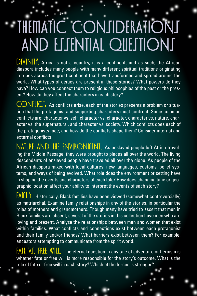# THEMATIC CONJIDERATIONS AND ESSENTIAL QUESTIONS

 $DIVINII$ : Africa is not a country, it is a continent, and as such, the African diaspora includes many people with many different spiritual traditions originating in tribes across the great continent that have transformed and spread around the world. What types of deities are present in these stories? What powers do they have? How can you connect them to religious philosophies of the past or the present? How do they affect the characters in each story?

CONFLICT: As conflicts arise, each of the stories presents a problem or situation that the protagonist and supporting characters must confront. Some common conflicts are: character vs. self, character vs. character, character vs. nature, character vs. the supernatural, and character vs. society. Which conflicts does each of the protagonists face, and how do the conflicts shape them? Consider internal and external conflicts.

NATURE AND THE ENVIRONMENT: As enslaved people left Africa traveling the Middle Passage, they were brought to places all over the world. The living descendants of enslaved people have traveled all over the globe. As people of the African diaspora mixed with local cultures, new languages, customs, belief systems, and ways of being evolved. What role does the environment or setting have in shaping the events and characters of each tale? How does changing time or geographic location affect your ability to interpret the events of each story?

FAMILY: Historically, Black families have been viewed (somewhat controversially) as matriarchal. Examine family relationships in any of the stories, in particular the roles of mothers and grandmothers. Though many have tried to assert that men in Black families are absent, several of the stories in this collection have men who are loving and present. Analyze the relationships between men and women that exist within families. What conflicts and connections exist between each protagonist and their family and/or friends? What barriers exist between them? For example, ancestors attempting to communicate from the spirit world.

 $FATE$  V $T.$  FREE WILL: The eternal question in any tale of adventure or heroism is whether fate or free will is more responsible for the story's outcome. What is the role of fate or free will in each story? Which of the forces is stronger?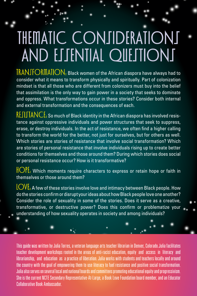## THEMATIC CONJIDERATIONI AND ESSENTIAL QUESTIONS

TRANSFORMATION: Black women of the African diaspora have always had to consider what it means to transform physically and spiritually. Part of colonization mindset is that all those who are different from colonizers must buy into the belief that assimilation is the only way to gain power in a society that seeks to dominate and oppress. What transformations occur in these stories? Consider both internal and external transformation and the consequences of each.

 $\overline{\text{REIIIANCE:}}$  So much of Black identity in the African diaspora has involved resistance against oppressive individuals and power structures that seek to suppress, erase, or destroy individuals. In the act of resistance, we often find a higher calling to transform the world for the better, not just for ourselves, but for others as well. Which stories are stories of resistance that involve social transformation? Which are stories of personal resistance that involve individuals rising up to create better conditions for themselves and those around them? During which stories does social or personal resistance occur? How is it transformative?

 $\text{HOPE}$ . Which moments require characters to express or retain hope or faith in themselves or those around them?

LOVE: A few of these stories involve love and intimacy between Black people. How do the stories confirm or disrupt your ideas about how Black people love one another? Consider the role of sexuality in some of the stories. Does it serve as a creative, transformative, or destructive power? Does this confirm or problematize your understanding of how sexuality operates in society and among individuals?

This guide was written by Julia Torres, a veteran language arts teacher librarian in Denver, Colorado.Julia facilitates teacher development workshops rooted in the areas of anti-racist education, equity and access in literacy and librarianship, and education as a practice of liberation. Julia works with students and teachers locally and around the country with the goal of empowering them to use literacy to fuel resistance and positive social transformation. Julia also serves on several local and national boards and committees promoting educational equity and progressivism. She is the current NCTE Secondary Representative-At-Large, a Book Love Foundation board member, and an Educator Collaborative Book Ambassador.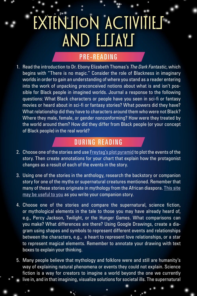# EXTENJION ACTIVITIES AND ESSAYS

#### PRE-READING

1. Read the introduction to Dr. Ebony Elizabeth Thomas's *The Dark Fantastic*, which begins with "There is no magic." Consider the role of Blackness in imaginary worlds in order to gain an understanding of where you stand as a reader entering into the work of unpacking preconceived notions about what is and isn't possible for Black people in imagined worlds. Journal a response to the following questions: What Black characters or people have you seen in sci-fi or fantasy movies or heard about in sci-fi or fantasy stories? What powers did they have? What relationship did they have to characters around them who were not Black? Where they male, female, or gender nonconforming? How were they treated by the world around them? How did they differ from Black people (or your concept of Black people) in the real world?

#### DURING READING

- 2. Choose one of the stories and use Freytag's plot pyramid to plot the events of the story. Then create annotations for your chart that explain how the protagonist changes as a result of each of the events in the story.
- 3. Using one of the stories in the anthology, research the backstory or companion story for one of the myths or supernatural creatures mentioned. Remember that many of these stories originate in mythology from the African diaspora. This site may be useful to you as you write your companion story.
- 4. Choose one of the stories and compare the supernatural, science fiction, or mythological elements in the tale to those you may have already heard of, e.g., Percy Jackson, Twilight, or the Hunger Games. What comparisons can you make? What differences are there? Using Google Drawings, create a diagram using shapes and symbols to represent different events and relationships between the characters, e.g., a heart to represent love relationships, or a star to represent magical elements. Remember to annotate your drawing with text boxes to explain your thinking.
- 5. Many people believe that mythology and folklore were and still are humanity's way of explaining natural phenomena or events they could not explain. Science fiction is a way for creators to imagine a world beyond the one we currently live in, and in that imagining, visualize solutions for societal ills. The supernatural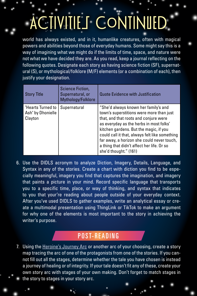# ACTIVITIES CONTINUED

world has always existed, and in it, humanlike creatures, often with magical powers and abilities beyond those of everyday humans. Some might say this is a way of imagining what we might do if the limits of time, space, and nature were not what we have decided they are. As you read, keep a journal reflecting on the following quotes. Designate each story as having science fiction (SF), supernatural (S), or mythological/folklore (M/F) elements (or a combination of each), then justify your designation.

| <b>Story Title</b>                                | Science Fiction,<br>Supernatural, or<br>Mythology/Folklore | <b>Quote Evidence with Justification</b>                                                                                                                                                                                                                                                                                                                                              |
|---------------------------------------------------|------------------------------------------------------------|---------------------------------------------------------------------------------------------------------------------------------------------------------------------------------------------------------------------------------------------------------------------------------------------------------------------------------------------------------------------------------------|
| "Hearts Turned to<br>Ash" by Dhonielle<br>Clayton | Supernatural                                               | "She'd always known her family's and<br>town's superstitions were more than just<br>that, and that roots and conjure were<br>as everyday as the herbs in most folks'<br>kitchen gardens. But the magic, if you<br>could call it that, always felt like something<br>far away, a horizon she could never touch,<br>a thing that didn't affect her life. Or so<br>she'd thought." (161) |

6. Use the DIDLS acronym to analyze Diction, Imagery, Details, Language, and Syntax in any of the stories. Create a chart with diction you find to be especially meaningful, imagery you find that captures the imagination, and imagery that paints a picture in your mind. Record specific language that transports you to a specific time, place, or way of thinking, and syntax that indicates to you that your're reading about people outside of your everyday context. After you've used DIDLS to gather examples, write an analytical essay or create a multimodal presentation using ThingLink or TikTok to make an argument for why one of the elements is most important to the story in achieving the writer's purpose.

### POST-READING

7. Using the Heroine's Journey Arc or another arc of your choosing, create a story map tracing the arc of one of the protagonists from one of the stories. If you cannot fill out all the stages, determine whether the tale you have chosen is instead a journey of healing or of integrity. If your tale doesn't fit any of these, create your own story arc with stages of your own making. Don't forget to match stages in the story to stages in your story arc.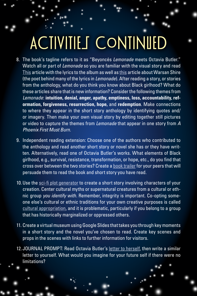# **ACTIVITIES CONTINUED**

- 8. The book's tagline refers to it as "Beyoncés *Lemonade* meets Octavia Butler." Watch all or part of *Lemonade* so you are familiar with the visual story and read This article with the lyrics to the album as well as this article about Warsan Shire (the poet behind many of the lyrics in *Lemonade*). After reading a story, or stories from the anthology, what do you think you know about Black girlhood? What do these articles share that is new information? Consider the following themes from *Lemonade*: **intuition, denial, anger, apathy, emptiness, loss, accountability, reformation, forgiveness, resurrection, hope,** and **redemption**. Make connections to where they appear in the short story anthology by identifying quotes and/ or imagery. Then make your own visual story by editing together still pictures or video to capture the themes from *Lemonade* that appear in one story from *A Phoenix First Must Burn*.
- 9. Independent reading extension: Choose one of the authors who contributed to the anthology and read another short story or novel she has or they have written. Alternatively, read one of Octavia Butler's works. What elements of Black girlhood, e.g., survival, resistance, transformation, or hope, etc., do you find that cross over between the two stories? Create a book trailer for your peers that will persuade them to read the book and short story you have read.
- 10. Use the sci-fi plot generator to create a short story involving characters of your creation. Center cultural myths or supernatural creatures from a cultural or ethnic group *you identify with*. Remember, integrity is important. Co-opting someone else's cultural or ethnic traditions for your own creative purposes is called cultural appropriation, and it is problematic, particularly if you belong to a group that has historically marginalized or oppressed others.
- 11. Create a virtual museum using Google Slides that takes you through key moments in a short story and the novel you've chosen to read. Create key scenes and props in the scenes with links to further information for visitors.
- 12.JOURNAL PROMPT: Read Octavia Butler's letter to herself, then write a similar letter to yourself. What would you imagine for your future self if there were no limitations?